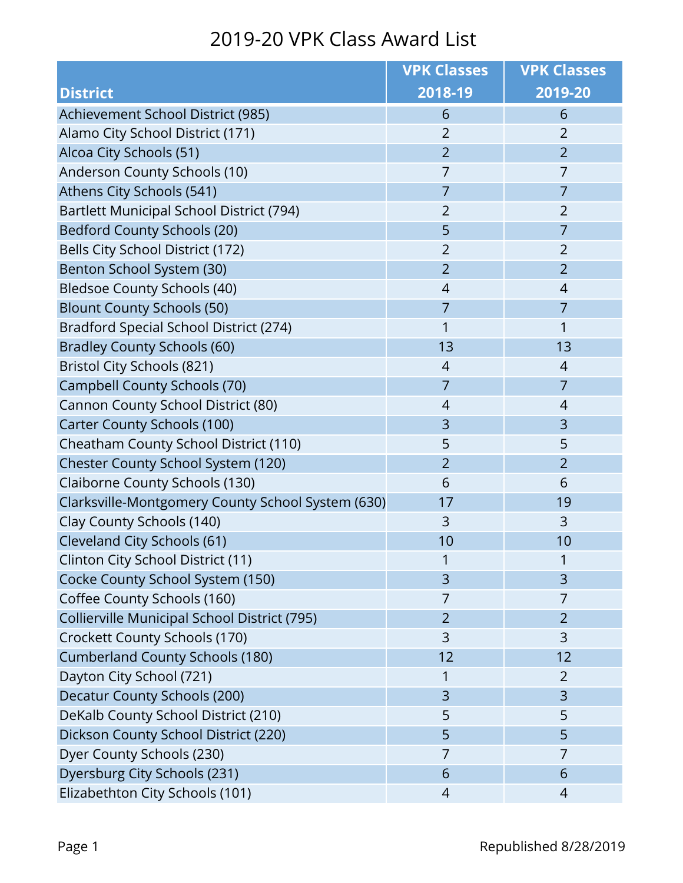|                                                   | <b>VPK Classes</b> | <b>VPK Classes</b> |
|---------------------------------------------------|--------------------|--------------------|
| <b>District</b>                                   | 2018-19            | 2019-20            |
| Achievement School District (985)                 | 6                  | 6                  |
| Alamo City School District (171)                  | $\overline{2}$     | $\overline{2}$     |
| Alcoa City Schools (51)                           | $\overline{2}$     | $\overline{2}$     |
| Anderson County Schools (10)                      | $\overline{7}$     | 7                  |
| Athens City Schools (541)                         | 7                  | 7                  |
| Bartlett Municipal School District (794)          | $\overline{2}$     | $\overline{2}$     |
| <b>Bedford County Schools (20)</b>                | 5                  | 7                  |
| Bells City School District (172)                  | $\overline{2}$     | $\overline{2}$     |
| Benton School System (30)                         | $\overline{2}$     | $\overline{2}$     |
| Bledsoe County Schools (40)                       | 4                  | $\overline{4}$     |
| <b>Blount County Schools (50)</b>                 | $\overline{7}$     | $\overline{7}$     |
| Bradford Special School District (274)            | 1                  | 1                  |
| <b>Bradley County Schools (60)</b>                | 13                 | 13                 |
| Bristol City Schools (821)                        | 4                  | 4                  |
| <b>Campbell County Schools (70)</b>               | 7                  | $\overline{7}$     |
| Cannon County School District (80)                | 4                  | 4                  |
| <b>Carter County Schools (100)</b>                | 3                  | 3                  |
| Cheatham County School District (110)             | 5                  | 5                  |
| Chester County School System (120)                | $\overline{2}$     | $\overline{2}$     |
| Claiborne County Schools (130)                    | 6                  | 6                  |
| Clarksville-Montgomery County School System (630) | 17                 | 19                 |
| Clay County Schools (140)                         | 3                  | 3                  |
| Cleveland City Schools (61)                       | 10                 | 10                 |
| Clinton City School District (11)                 | 1                  | 1                  |
| Cocke County School System (150)                  | 3                  | 3                  |
| Coffee County Schools (160)                       | 7                  | 7                  |
| Collierville Municipal School District (795)      | $\overline{2}$     | $\overline{2}$     |
| Crockett County Schools (170)                     | 3                  | 3                  |
| <b>Cumberland County Schools (180)</b>            | 12                 | 12                 |
| Dayton City School (721)                          | 1                  | $\overline{2}$     |
| Decatur County Schools (200)                      | 3                  | 3                  |
| DeKalb County School District (210)               | 5                  | 5                  |
| Dickson County School District (220)              | 5                  | 5                  |
| Dyer County Schools (230)                         | 7                  | 7                  |
| Dyersburg City Schools (231)                      | 6                  | 6                  |
| Elizabethton City Schools (101)                   | 4                  | 4                  |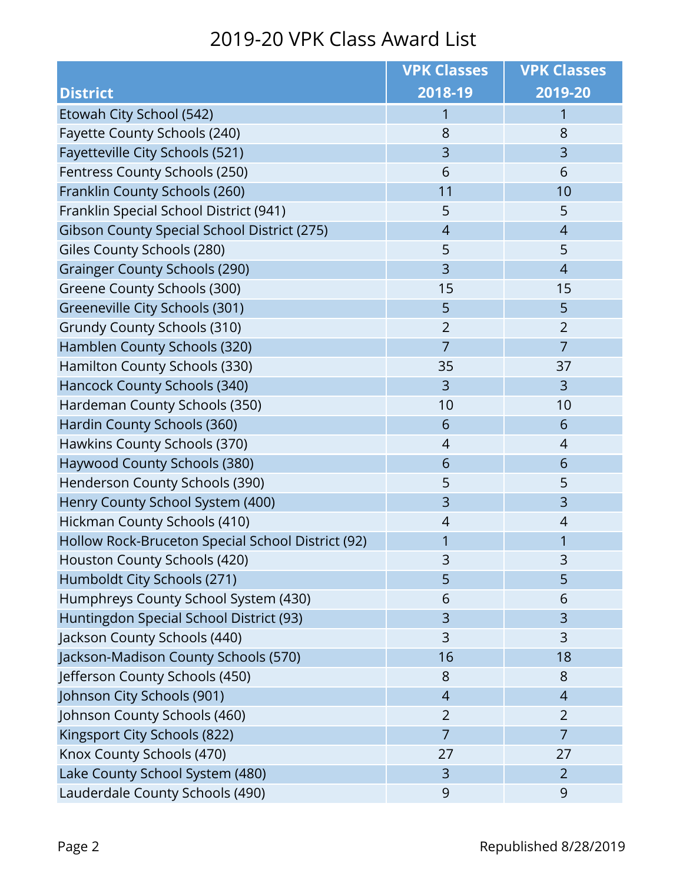|                                                   | <b>VPK Classes</b> | <b>VPK Classes</b> |
|---------------------------------------------------|--------------------|--------------------|
| <b>District</b>                                   | 2018-19            | 2019-20            |
| Etowah City School (542)                          | 1                  | 1                  |
| Fayette County Schools (240)                      | 8                  | 8                  |
| Fayetteville City Schools (521)                   | 3                  | 3                  |
| Fentress County Schools (250)                     | 6                  | 6                  |
| Franklin County Schools (260)                     | 11                 | 10                 |
| Franklin Special School District (941)            | 5                  | 5                  |
| Gibson County Special School District (275)       | $\overline{4}$     | $\overline{4}$     |
| Giles County Schools (280)                        | 5                  | 5                  |
| <b>Grainger County Schools (290)</b>              | 3                  | $\overline{4}$     |
| Greene County Schools (300)                       | 15                 | 15                 |
| Greeneville City Schools (301)                    | 5                  | 5                  |
| Grundy County Schools (310)                       | $\overline{2}$     | $\overline{2}$     |
| Hamblen County Schools (320)                      | $\overline{7}$     | $\overline{7}$     |
| Hamilton County Schools (330)                     | 35                 | 37                 |
| Hancock County Schools (340)                      | 3                  | 3                  |
| Hardeman County Schools (350)                     | 10                 | 10                 |
| Hardin County Schools (360)                       | 6                  | 6                  |
| Hawkins County Schools (370)                      | $\overline{4}$     | $\overline{4}$     |
| Haywood County Schools (380)                      | 6                  | 6                  |
| Henderson County Schools (390)                    | 5                  | 5                  |
| Henry County School System (400)                  | 3                  | $\overline{3}$     |
| Hickman County Schools (410)                      | $\overline{4}$     | $\overline{4}$     |
| Hollow Rock-Bruceton Special School District (92) | 1                  | 1                  |
| Houston County Schools (420)                      | 3                  | 3                  |
| Humboldt City Schools (271)                       | 5                  | 5                  |
| Humphreys County School System (430)              | 6                  | 6                  |
| Huntingdon Special School District (93)           | 3                  | 3                  |
| Jackson County Schools (440)                      | 3                  | 3                  |
| Jackson-Madison County Schools (570)              | 16                 | 18                 |
| Jefferson County Schools (450)                    | 8                  | 8                  |
| Johnson City Schools (901)                        | $\overline{4}$     | $\overline{4}$     |
| Johnson County Schools (460)                      | $\overline{2}$     | $\overline{2}$     |
| Kingsport City Schools (822)                      | $\overline{7}$     | $\overline{7}$     |
| Knox County Schools (470)                         | 27                 | 27                 |
| Lake County School System (480)                   | 3                  | $\overline{2}$     |
| Lauderdale County Schools (490)                   | 9                  | 9                  |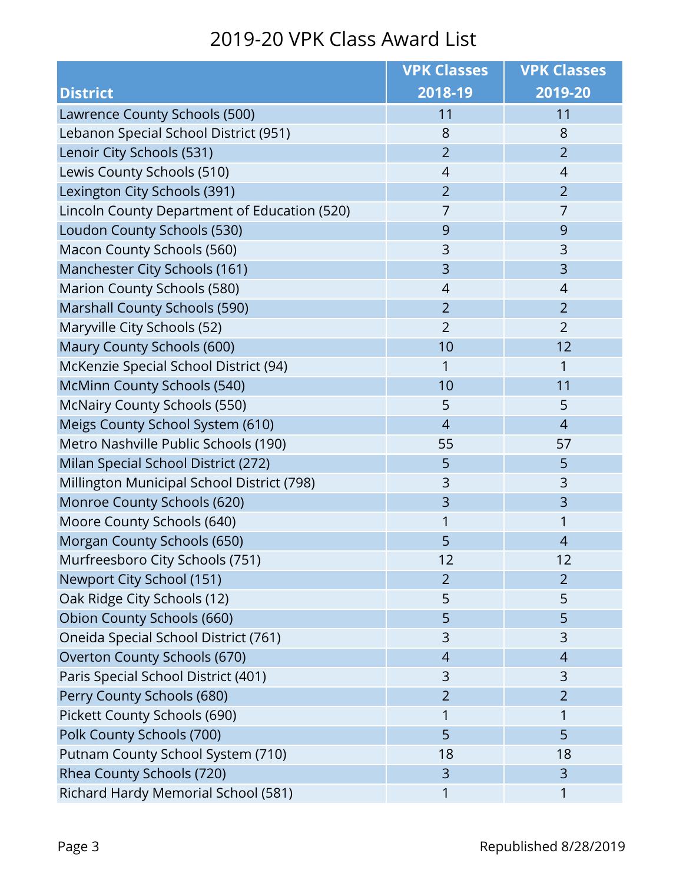|                                              | <b>VPK Classes</b> | <b>VPK Classes</b> |
|----------------------------------------------|--------------------|--------------------|
| <b>District</b>                              | 2018-19            | 2019-20            |
| Lawrence County Schools (500)                | 11                 | 11                 |
| Lebanon Special School District (951)        | 8                  | 8                  |
| Lenoir City Schools (531)                    | $\overline{2}$     | $\overline{2}$     |
| Lewis County Schools (510)                   | $\overline{4}$     | $\overline{4}$     |
| Lexington City Schools (391)                 | $\overline{2}$     | $\overline{2}$     |
| Lincoln County Department of Education (520) | 7                  | 7                  |
| Loudon County Schools (530)                  | 9                  | 9                  |
| Macon County Schools (560)                   | 3                  | 3                  |
| Manchester City Schools (161)                | 3                  | 3                  |
| Marion County Schools (580)                  | $\overline{4}$     | $\overline{4}$     |
| <b>Marshall County Schools (590)</b>         | $\overline{2}$     | $\overline{2}$     |
| Maryville City Schools (52)                  | $\overline{2}$     | $\overline{2}$     |
| Maury County Schools (600)                   | 10                 | 12                 |
| McKenzie Special School District (94)        | 1                  | 1                  |
| <b>McMinn County Schools (540)</b>           | 10                 | 11                 |
| <b>McNairy County Schools (550)</b>          | 5                  | 5                  |
| Meigs County School System (610)             | $\overline{4}$     | $\overline{4}$     |
| Metro Nashville Public Schools (190)         | 55                 | 57                 |
| Milan Special School District (272)          | 5                  | 5                  |
| Millington Municipal School District (798)   | 3                  | 3                  |
| Monroe County Schools (620)                  | 3                  | 3                  |
| Moore County Schools (640)                   | 1                  | 1                  |
| Morgan County Schools (650)                  | 5                  | $\overline{4}$     |
| Murfreesboro City Schools (751)              | 12                 | 12                 |
| Newport City School (151)                    | $\overline{2}$     | $\overline{2}$     |
| Oak Ridge City Schools (12)                  | 5                  | 5                  |
| Obion County Schools (660)                   | 5                  | 5                  |
| Oneida Special School District (761)         | 3                  | 3                  |
| Overton County Schools (670)                 | $\overline{4}$     | $\overline{4}$     |
| Paris Special School District (401)          | 3                  | 3                  |
| Perry County Schools (680)                   | $\overline{2}$     | $\overline{2}$     |
| Pickett County Schools (690)                 | 1                  |                    |
| Polk County Schools (700)                    | 5                  | 5                  |
| Putnam County School System (710)            | 18                 | 18                 |
| Rhea County Schools (720)                    | 3                  | 3                  |
| Richard Hardy Memorial School (581)          | 1                  | 1                  |